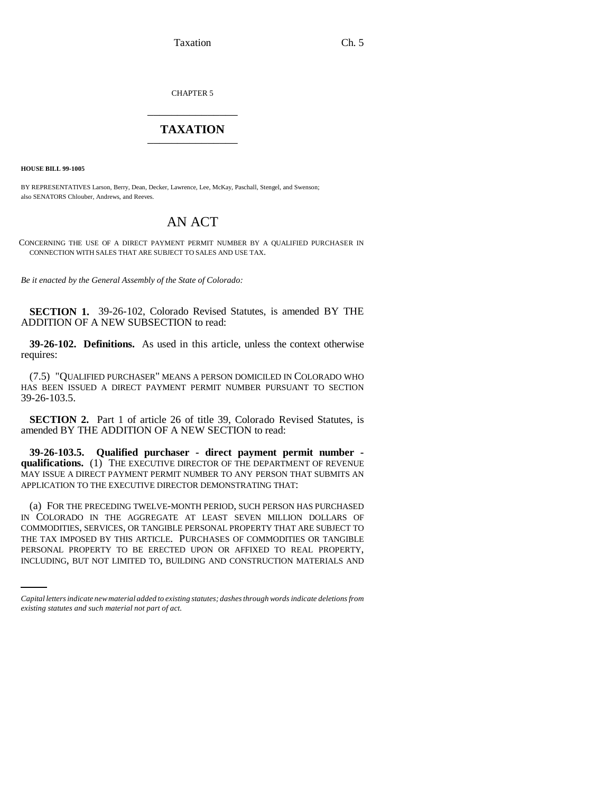Taxation Ch. 5

CHAPTER 5 \_\_\_\_\_\_\_\_\_\_\_\_\_\_\_

## **TAXATION** \_\_\_\_\_\_\_\_\_\_\_\_\_\_\_

**HOUSE BILL 99-1005** 

BY REPRESENTATIVES Larson, Berry, Dean, Decker, Lawrence, Lee, McKay, Paschall, Stengel, and Swenson; also SENATORS Chlouber, Andrews, and Reeves.

# AN ACT

CONCERNING THE USE OF A DIRECT PAYMENT PERMIT NUMBER BY A QUALIFIED PURCHASER IN CONNECTION WITH SALES THAT ARE SUBJECT TO SALES AND USE TAX.

*Be it enacted by the General Assembly of the State of Colorado:*

**SECTION 1.** 39-26-102, Colorado Revised Statutes, is amended BY THE ADDITION OF A NEW SUBSECTION to read:

**39-26-102. Definitions.** As used in this article, unless the context otherwise requires:

(7.5) "QUALIFIED PURCHASER" MEANS A PERSON DOMICILED IN COLORADO WHO HAS BEEN ISSUED A DIRECT PAYMENT PERMIT NUMBER PURSUANT TO SECTION 39-26-103.5.

**SECTION 2.** Part 1 of article 26 of title 39, Colorado Revised Statutes, is amended BY THE ADDITION OF A NEW SECTION to read:

**39-26-103.5. Qualified purchaser - direct payment permit number qualifications.** (1) THE EXECUTIVE DIRECTOR OF THE DEPARTMENT OF REVENUE MAY ISSUE A DIRECT PAYMENT PERMIT NUMBER TO ANY PERSON THAT SUBMITS AN APPLICATION TO THE EXECUTIVE DIRECTOR DEMONSTRATING THAT:

THE TAX IMPOSED BY THIS ARTICLE. PURCHASES OF COMMODITIES OR TANGIBLE (a) FOR THE PRECEDING TWELVE-MONTH PERIOD, SUCH PERSON HAS PURCHASED IN COLORADO IN THE AGGREGATE AT LEAST SEVEN MILLION DOLLARS OF COMMODITIES, SERVICES, OR TANGIBLE PERSONAL PROPERTY THAT ARE SUBJECT TO PERSONAL PROPERTY TO BE ERECTED UPON OR AFFIXED TO REAL PROPERTY, INCLUDING, BUT NOT LIMITED TO, BUILDING AND CONSTRUCTION MATERIALS AND

*Capital letters indicate new material added to existing statutes; dashes through words indicate deletions from existing statutes and such material not part of act.*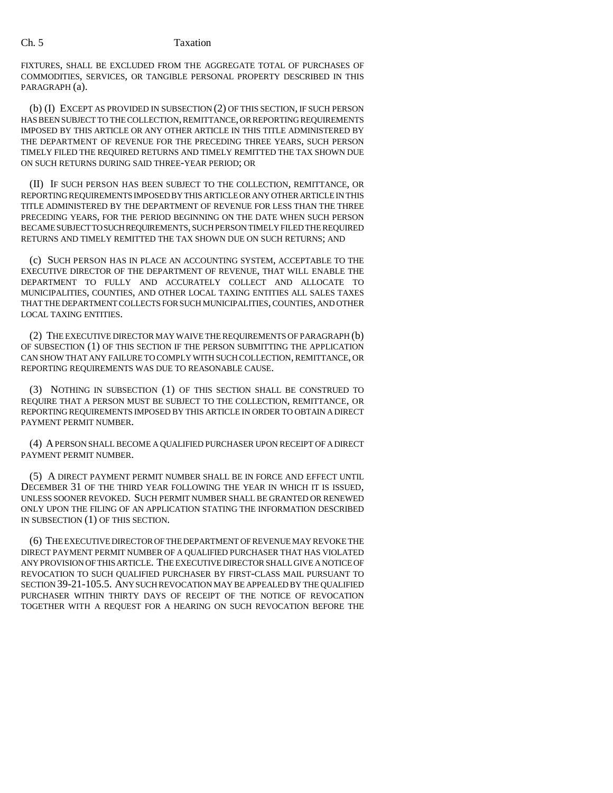FIXTURES, SHALL BE EXCLUDED FROM THE AGGREGATE TOTAL OF PURCHASES OF COMMODITIES, SERVICES, OR TANGIBLE PERSONAL PROPERTY DESCRIBED IN THIS PARAGRAPH (a).

(b) (I) EXCEPT AS PROVIDED IN SUBSECTION (2) OF THIS SECTION, IF SUCH PERSON HAS BEEN SUBJECT TO THE COLLECTION, REMITTANCE, OR REPORTING REQUIREMENTS IMPOSED BY THIS ARTICLE OR ANY OTHER ARTICLE IN THIS TITLE ADMINISTERED BY THE DEPARTMENT OF REVENUE FOR THE PRECEDING THREE YEARS, SUCH PERSON TIMELY FILED THE REQUIRED RETURNS AND TIMELY REMITTED THE TAX SHOWN DUE ON SUCH RETURNS DURING SAID THREE-YEAR PERIOD; OR

(II) IF SUCH PERSON HAS BEEN SUBJECT TO THE COLLECTION, REMITTANCE, OR REPORTING REQUIREMENTS IMPOSED BY THIS ARTICLE OR ANY OTHER ARTICLE IN THIS TITLE ADMINISTERED BY THE DEPARTMENT OF REVENUE FOR LESS THAN THE THREE PRECEDING YEARS, FOR THE PERIOD BEGINNING ON THE DATE WHEN SUCH PERSON BECAME SUBJECT TO SUCH REQUIREMENTS, SUCH PERSON TIMELY FILED THE REQUIRED RETURNS AND TIMELY REMITTED THE TAX SHOWN DUE ON SUCH RETURNS; AND

(c) SUCH PERSON HAS IN PLACE AN ACCOUNTING SYSTEM, ACCEPTABLE TO THE EXECUTIVE DIRECTOR OF THE DEPARTMENT OF REVENUE, THAT WILL ENABLE THE DEPARTMENT TO FULLY AND ACCURATELY COLLECT AND ALLOCATE TO MUNICIPALITIES, COUNTIES, AND OTHER LOCAL TAXING ENTITIES ALL SALES TAXES THAT THE DEPARTMENT COLLECTS FOR SUCH MUNICIPALITIES, COUNTIES, AND OTHER LOCAL TAXING ENTITIES.

(2) THE EXECUTIVE DIRECTOR MAY WAIVE THE REQUIREMENTS OF PARAGRAPH (b) OF SUBSECTION (1) OF THIS SECTION IF THE PERSON SUBMITTING THE APPLICATION CAN SHOW THAT ANY FAILURE TO COMPLY WITH SUCH COLLECTION, REMITTANCE, OR REPORTING REQUIREMENTS WAS DUE TO REASONABLE CAUSE.

(3) NOTHING IN SUBSECTION (1) OF THIS SECTION SHALL BE CONSTRUED TO REQUIRE THAT A PERSON MUST BE SUBJECT TO THE COLLECTION, REMITTANCE, OR REPORTING REQUIREMENTS IMPOSED BY THIS ARTICLE IN ORDER TO OBTAIN A DIRECT PAYMENT PERMIT NUMBER.

(4) A PERSON SHALL BECOME A QUALIFIED PURCHASER UPON RECEIPT OF A DIRECT PAYMENT PERMIT NUMBER.

(5) A DIRECT PAYMENT PERMIT NUMBER SHALL BE IN FORCE AND EFFECT UNTIL DECEMBER 31 OF THE THIRD YEAR FOLLOWING THE YEAR IN WHICH IT IS ISSUED, UNLESS SOONER REVOKED. SUCH PERMIT NUMBER SHALL BE GRANTED OR RENEWED ONLY UPON THE FILING OF AN APPLICATION STATING THE INFORMATION DESCRIBED IN SUBSECTION (1) OF THIS SECTION.

(6) THE EXECUTIVE DIRECTOR OF THE DEPARTMENT OF REVENUE MAY REVOKE THE DIRECT PAYMENT PERMIT NUMBER OF A QUALIFIED PURCHASER THAT HAS VIOLATED ANY PROVISION OF THIS ARTICLE. THE EXECUTIVE DIRECTOR SHALL GIVE A NOTICE OF REVOCATION TO SUCH QUALIFIED PURCHASER BY FIRST-CLASS MAIL PURSUANT TO SECTION 39-21-105.5. ANY SUCH REVOCATION MAY BE APPEALED BY THE QUALIFIED PURCHASER WITHIN THIRTY DAYS OF RECEIPT OF THE NOTICE OF REVOCATION TOGETHER WITH A REQUEST FOR A HEARING ON SUCH REVOCATION BEFORE THE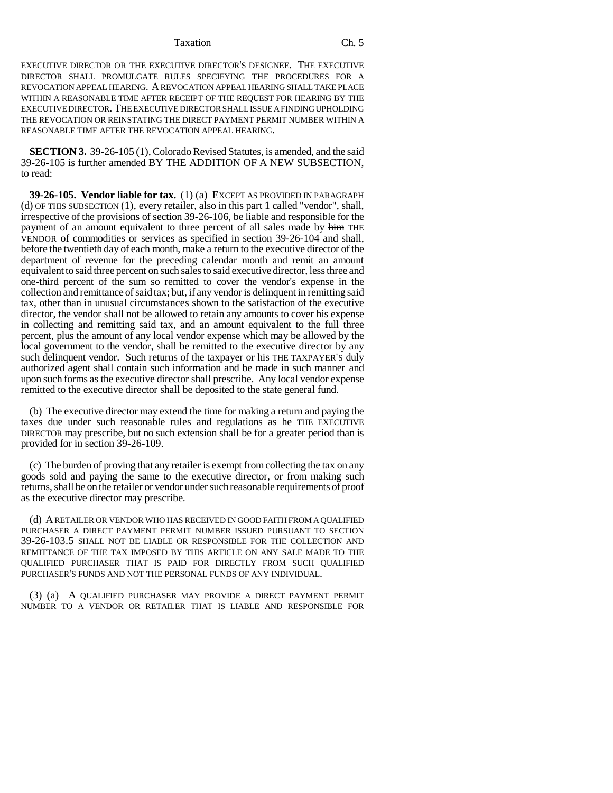#### Taxation Ch. 5

EXECUTIVE DIRECTOR OR THE EXECUTIVE DIRECTOR'S DESIGNEE. THE EXECUTIVE DIRECTOR SHALL PROMULGATE RULES SPECIFYING THE PROCEDURES FOR A REVOCATION APPEAL HEARING. A REVOCATION APPEAL HEARING SHALL TAKE PLACE WITHIN A REASONABLE TIME AFTER RECEIPT OF THE REQUEST FOR HEARING BY THE EXECUTIVE DIRECTOR. THE EXECUTIVE DIRECTOR SHALL ISSUE A FINDING UPHOLDING THE REVOCATION OR REINSTATING THE DIRECT PAYMENT PERMIT NUMBER WITHIN A REASONABLE TIME AFTER THE REVOCATION APPEAL HEARING.

**SECTION 3.** 39-26-105 (1), Colorado Revised Statutes, is amended, and the said 39-26-105 is further amended BY THE ADDITION OF A NEW SUBSECTION, to read:

**39-26-105. Vendor liable for tax.** (1) (a) EXCEPT AS PROVIDED IN PARAGRAPH (d) OF THIS SUBSECTION (1), every retailer, also in this part 1 called "vendor", shall, irrespective of the provisions of section 39-26-106, be liable and responsible for the payment of an amount equivalent to three percent of all sales made by him THE VENDOR of commodities or services as specified in section 39-26-104 and shall, before the twentieth day of each month, make a return to the executive director of the department of revenue for the preceding calendar month and remit an amount equivalent to said three percent on such sales to said executive director, less three and one-third percent of the sum so remitted to cover the vendor's expense in the collection and remittance of said tax; but, if any vendor is delinquent in remitting said tax, other than in unusual circumstances shown to the satisfaction of the executive director, the vendor shall not be allowed to retain any amounts to cover his expense in collecting and remitting said tax, and an amount equivalent to the full three percent, plus the amount of any local vendor expense which may be allowed by the local government to the vendor, shall be remitted to the executive director by any such delinquent vendor. Such returns of the taxpayer or his THE TAXPAYER'S duly authorized agent shall contain such information and be made in such manner and upon such forms as the executive director shall prescribe. Any local vendor expense remitted to the executive director shall be deposited to the state general fund.

(b) The executive director may extend the time for making a return and paying the taxes due under such reasonable rules and regulations as he THE EXECUTIVE DIRECTOR may prescribe, but no such extension shall be for a greater period than is provided for in section 39-26-109.

(c) The burden of proving that any retailer is exempt from collecting the tax on any goods sold and paying the same to the executive director, or from making such returns, shall be on the retailer or vendor under such reasonable requirements of proof as the executive director may prescribe.

(d) A RETAILER OR VENDOR WHO HAS RECEIVED IN GOOD FAITH FROM A QUALIFIED PURCHASER A DIRECT PAYMENT PERMIT NUMBER ISSUED PURSUANT TO SECTION 39-26-103.5 SHALL NOT BE LIABLE OR RESPONSIBLE FOR THE COLLECTION AND REMITTANCE OF THE TAX IMPOSED BY THIS ARTICLE ON ANY SALE MADE TO THE QUALIFIED PURCHASER THAT IS PAID FOR DIRECTLY FROM SUCH QUALIFIED PURCHASER'S FUNDS AND NOT THE PERSONAL FUNDS OF ANY INDIVIDUAL.

(3) (a) A QUALIFIED PURCHASER MAY PROVIDE A DIRECT PAYMENT PERMIT NUMBER TO A VENDOR OR RETAILER THAT IS LIABLE AND RESPONSIBLE FOR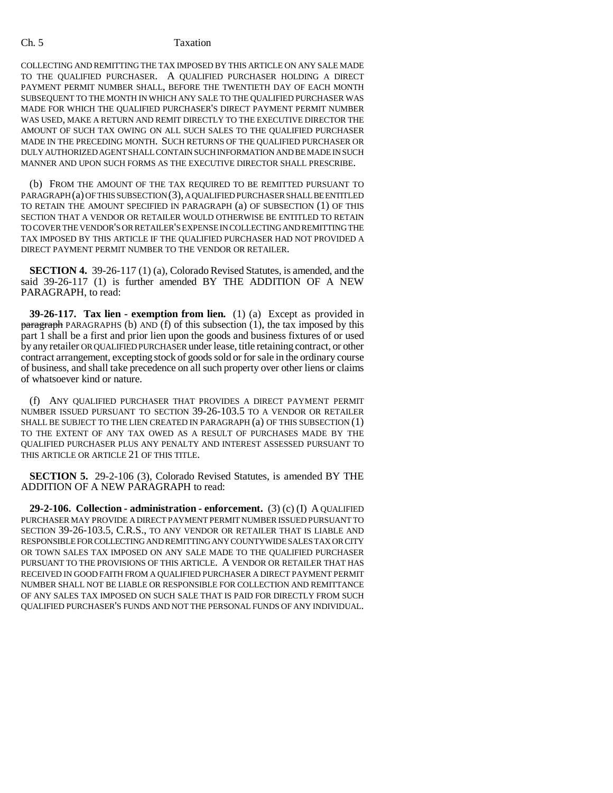COLLECTING AND REMITTING THE TAX IMPOSED BY THIS ARTICLE ON ANY SALE MADE TO THE QUALIFIED PURCHASER. A QUALIFIED PURCHASER HOLDING A DIRECT PAYMENT PERMIT NUMBER SHALL, BEFORE THE TWENTIETH DAY OF EACH MONTH SUBSEQUENT TO THE MONTH IN WHICH ANY SALE TO THE QUALIFIED PURCHASER WAS MADE FOR WHICH THE QUALIFIED PURCHASER'S DIRECT PAYMENT PERMIT NUMBER WAS USED, MAKE A RETURN AND REMIT DIRECTLY TO THE EXECUTIVE DIRECTOR THE AMOUNT OF SUCH TAX OWING ON ALL SUCH SALES TO THE QUALIFIED PURCHASER MADE IN THE PRECEDING MONTH. SUCH RETURNS OF THE QUALIFIED PURCHASER OR DULY AUTHORIZED AGENT SHALL CONTAIN SUCH INFORMATION AND BE MADE IN SUCH MANNER AND UPON SUCH FORMS AS THE EXECUTIVE DIRECTOR SHALL PRESCRIBE.

(b) FROM THE AMOUNT OF THE TAX REQUIRED TO BE REMITTED PURSUANT TO PARAGRAPH (a) OF THIS SUBSECTION (3), A QUALIFIED PURCHASER SHALL BE ENTITLED TO RETAIN THE AMOUNT SPECIFIED IN PARAGRAPH (a) OF SUBSECTION (1) OF THIS SECTION THAT A VENDOR OR RETAILER WOULD OTHERWISE BE ENTITLED TO RETAIN TO COVER THE VENDOR'S OR RETAILER'S EXPENSE IN COLLECTING AND REMITTING THE TAX IMPOSED BY THIS ARTICLE IF THE QUALIFIED PURCHASER HAD NOT PROVIDED A DIRECT PAYMENT PERMIT NUMBER TO THE VENDOR OR RETAILER.

**SECTION 4.** 39-26-117 (1) (a), Colorado Revised Statutes, is amended, and the said 39-26-117 (1) is further amended BY THE ADDITION OF A NEW PARAGRAPH, to read:

**39-26-117. Tax lien - exemption from lien.** (1) (a) Except as provided in paragraph PARAGRAPHS (b) AND (f) of this subsection (1), the tax imposed by this part 1 shall be a first and prior lien upon the goods and business fixtures of or used by any retailer OR QUALIFIED PURCHASER under lease, title retaining contract, or other contract arrangement, excepting stock of goods sold or for sale in the ordinary course of business, and shall take precedence on all such property over other liens or claims of whatsoever kind or nature.

(f) ANY QUALIFIED PURCHASER THAT PROVIDES A DIRECT PAYMENT PERMIT NUMBER ISSUED PURSUANT TO SECTION 39-26-103.5 TO A VENDOR OR RETAILER SHALL BE SUBJECT TO THE LIEN CREATED IN PARAGRAPH (a) OF THIS SUBSECTION (1) TO THE EXTENT OF ANY TAX OWED AS A RESULT OF PURCHASES MADE BY THE QUALIFIED PURCHASER PLUS ANY PENALTY AND INTEREST ASSESSED PURSUANT TO THIS ARTICLE OR ARTICLE 21 OF THIS TITLE.

**SECTION 5.** 29-2-106 (3), Colorado Revised Statutes, is amended BY THE ADDITION OF A NEW PARAGRAPH to read:

**29-2-106. Collection - administration - enforcement.** (3) (c) (I) A QUALIFIED PURCHASER MAY PROVIDE A DIRECT PAYMENT PERMIT NUMBER ISSUED PURSUANT TO SECTION 39-26-103.5, C.R.S., TO ANY VENDOR OR RETAILER THAT IS LIABLE AND RESPONSIBLE FOR COLLECTING AND REMITTING ANY COUNTYWIDE SALES TAX OR CITY OR TOWN SALES TAX IMPOSED ON ANY SALE MADE TO THE QUALIFIED PURCHASER PURSUANT TO THE PROVISIONS OF THIS ARTICLE. A VENDOR OR RETAILER THAT HAS RECEIVED IN GOOD FAITH FROM A QUALIFIED PURCHASER A DIRECT PAYMENT PERMIT NUMBER SHALL NOT BE LIABLE OR RESPONSIBLE FOR COLLECTION AND REMITTANCE OF ANY SALES TAX IMPOSED ON SUCH SALE THAT IS PAID FOR DIRECTLY FROM SUCH QUALIFIED PURCHASER'S FUNDS AND NOT THE PERSONAL FUNDS OF ANY INDIVIDUAL.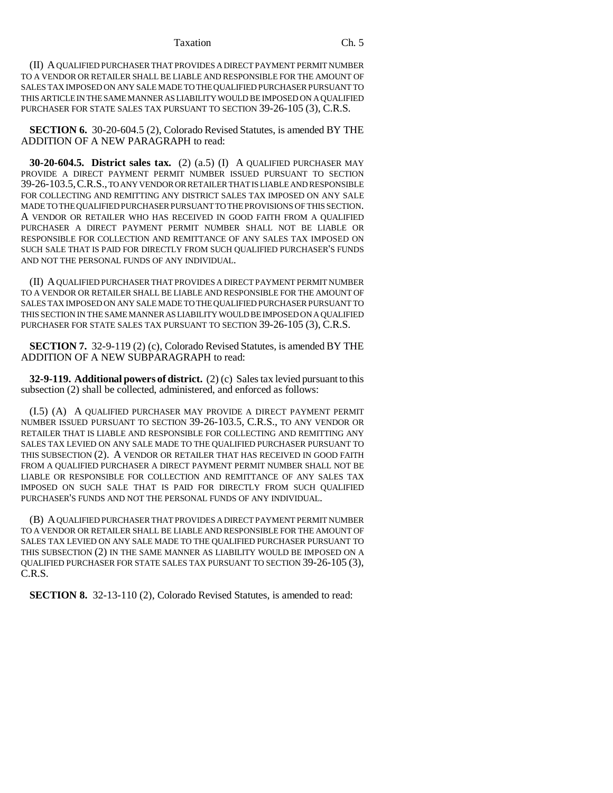#### Taxation Ch. 5

(II) A QUALIFIED PURCHASER THAT PROVIDES A DIRECT PAYMENT PERMIT NUMBER TO A VENDOR OR RETAILER SHALL BE LIABLE AND RESPONSIBLE FOR THE AMOUNT OF SALES TAX IMPOSED ON ANY SALE MADE TO THE QUALIFIED PURCHASER PURSUANT TO THIS ARTICLE IN THE SAME MANNER AS LIABILITY WOULD BE IMPOSED ON A QUALIFIED PURCHASER FOR STATE SALES TAX PURSUANT TO SECTION 39-26-105 (3), C.R.S.

**SECTION 6.** 30-20-604.5 (2), Colorado Revised Statutes, is amended BY THE ADDITION OF A NEW PARAGRAPH to read:

**30-20-604.5. District sales tax.** (2) (a.5) (I) A QUALIFIED PURCHASER MAY PROVIDE A DIRECT PAYMENT PERMIT NUMBER ISSUED PURSUANT TO SECTION 39-26-103.5,C.R.S., TO ANY VENDOR OR RETAILER THAT IS LIABLE AND RESPONSIBLE FOR COLLECTING AND REMITTING ANY DISTRICT SALES TAX IMPOSED ON ANY SALE MADE TO THE QUALIFIED PURCHASER PURSUANT TO THE PROVISIONS OF THIS SECTION. A VENDOR OR RETAILER WHO HAS RECEIVED IN GOOD FAITH FROM A QUALIFIED PURCHASER A DIRECT PAYMENT PERMIT NUMBER SHALL NOT BE LIABLE OR RESPONSIBLE FOR COLLECTION AND REMITTANCE OF ANY SALES TAX IMPOSED ON SUCH SALE THAT IS PAID FOR DIRECTLY FROM SUCH QUALIFIED PURCHASER'S FUNDS AND NOT THE PERSONAL FUNDS OF ANY INDIVIDUAL.

(II) A QUALIFIED PURCHASER THAT PROVIDES A DIRECT PAYMENT PERMIT NUMBER TO A VENDOR OR RETAILER SHALL BE LIABLE AND RESPONSIBLE FOR THE AMOUNT OF SALES TAX IMPOSED ON ANY SALE MADE TO THE QUALIFIED PURCHASER PURSUANT TO THIS SECTION IN THE SAME MANNER AS LIABILITY WOULD BE IMPOSED ON A QUALIFIED PURCHASER FOR STATE SALES TAX PURSUANT TO SECTION 39-26-105 (3), C.R.S.

**SECTION 7.** 32-9-119 (2) (c), Colorado Revised Statutes, is amended BY THE ADDITION OF A NEW SUBPARAGRAPH to read:

**32-9-119. Additional powers of district.** (2) (c) Sales tax levied pursuant to this subsection (2) shall be collected, administered, and enforced as follows:

(I.5) (A) A QUALIFIED PURCHASER MAY PROVIDE A DIRECT PAYMENT PERMIT NUMBER ISSUED PURSUANT TO SECTION 39-26-103.5, C.R.S., TO ANY VENDOR OR RETAILER THAT IS LIABLE AND RESPONSIBLE FOR COLLECTING AND REMITTING ANY SALES TAX LEVIED ON ANY SALE MADE TO THE QUALIFIED PURCHASER PURSUANT TO THIS SUBSECTION (2). A VENDOR OR RETAILER THAT HAS RECEIVED IN GOOD FAITH FROM A QUALIFIED PURCHASER A DIRECT PAYMENT PERMIT NUMBER SHALL NOT BE LIABLE OR RESPONSIBLE FOR COLLECTION AND REMITTANCE OF ANY SALES TAX IMPOSED ON SUCH SALE THAT IS PAID FOR DIRECTLY FROM SUCH QUALIFIED PURCHASER'S FUNDS AND NOT THE PERSONAL FUNDS OF ANY INDIVIDUAL.

(B) A QUALIFIED PURCHASER THAT PROVIDES A DIRECT PAYMENT PERMIT NUMBER TO A VENDOR OR RETAILER SHALL BE LIABLE AND RESPONSIBLE FOR THE AMOUNT OF SALES TAX LEVIED ON ANY SALE MADE TO THE QUALIFIED PURCHASER PURSUANT TO THIS SUBSECTION (2) IN THE SAME MANNER AS LIABILITY WOULD BE IMPOSED ON A QUALIFIED PURCHASER FOR STATE SALES TAX PURSUANT TO SECTION 39-26-105 (3), C.R.S.

**SECTION 8.** 32-13-110 (2), Colorado Revised Statutes, is amended to read: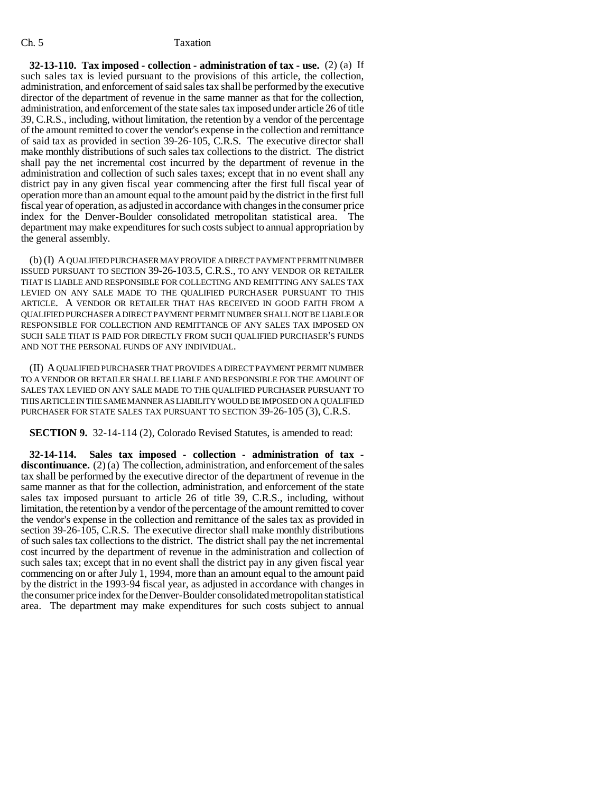**32-13-110. Tax imposed - collection - administration of tax - use.** (2) (a) If such sales tax is levied pursuant to the provisions of this article, the collection, administration, and enforcement of said sales tax shall be performed by the executive director of the department of revenue in the same manner as that for the collection, administration, and enforcement of the state sales tax imposed under article 26 of title 39, C.R.S., including, without limitation, the retention by a vendor of the percentage of the amount remitted to cover the vendor's expense in the collection and remittance of said tax as provided in section 39-26-105, C.R.S. The executive director shall make monthly distributions of such sales tax collections to the district. The district shall pay the net incremental cost incurred by the department of revenue in the administration and collection of such sales taxes; except that in no event shall any district pay in any given fiscal year commencing after the first full fiscal year of operation more than an amount equal to the amount paid by the district in the first full fiscal year of operation, as adjusted in accordance with changes in the consumer price index for the Denver-Boulder consolidated metropolitan statistical area. The department may make expenditures for such costs subject to annual appropriation by the general assembly.

(b) (I) A QUALIFIED PURCHASER MAY PROVIDE A DIRECT PAYMENT PERMIT NUMBER ISSUED PURSUANT TO SECTION 39-26-103.5, C.R.S., TO ANY VENDOR OR RETAILER THAT IS LIABLE AND RESPONSIBLE FOR COLLECTING AND REMITTING ANY SALES TAX LEVIED ON ANY SALE MADE TO THE QUALIFIED PURCHASER PURSUANT TO THIS ARTICLE. A VENDOR OR RETAILER THAT HAS RECEIVED IN GOOD FAITH FROM A QUALIFIED PURCHASER A DIRECT PAYMENT PERMIT NUMBER SHALL NOT BE LIABLE OR RESPONSIBLE FOR COLLECTION AND REMITTANCE OF ANY SALES TAX IMPOSED ON SUCH SALE THAT IS PAID FOR DIRECTLY FROM SUCH QUALIFIED PURCHASER'S FUNDS AND NOT THE PERSONAL FUNDS OF ANY INDIVIDUAL.

(II) A QUALIFIED PURCHASER THAT PROVIDES A DIRECT PAYMENT PERMIT NUMBER TO A VENDOR OR RETAILER SHALL BE LIABLE AND RESPONSIBLE FOR THE AMOUNT OF SALES TAX LEVIED ON ANY SALE MADE TO THE QUALIFIED PURCHASER PURSUANT TO THIS ARTICLE IN THE SAME MANNER AS LIABILITY WOULD BE IMPOSED ON A QUALIFIED PURCHASER FOR STATE SALES TAX PURSUANT TO SECTION 39-26-105 (3), C.R.S.

**SECTION 9.** 32-14-114 (2), Colorado Revised Statutes, is amended to read:

**32-14-114. Sales tax imposed - collection - administration of tax**  discontinuance. (2) (a) The collection, administration, and enforcement of the sales tax shall be performed by the executive director of the department of revenue in the same manner as that for the collection, administration, and enforcement of the state sales tax imposed pursuant to article 26 of title 39, C.R.S., including, without limitation, the retention by a vendor of the percentage of the amount remitted to cover the vendor's expense in the collection and remittance of the sales tax as provided in section 39-26-105, C.R.S. The executive director shall make monthly distributions of such sales tax collections to the district. The district shall pay the net incremental cost incurred by the department of revenue in the administration and collection of such sales tax; except that in no event shall the district pay in any given fiscal year commencing on or after July 1, 1994, more than an amount equal to the amount paid by the district in the 1993-94 fiscal year, as adjusted in accordance with changes in the consumer price index for the Denver-Boulder consolidated metropolitan statistical area. The department may make expenditures for such costs subject to annual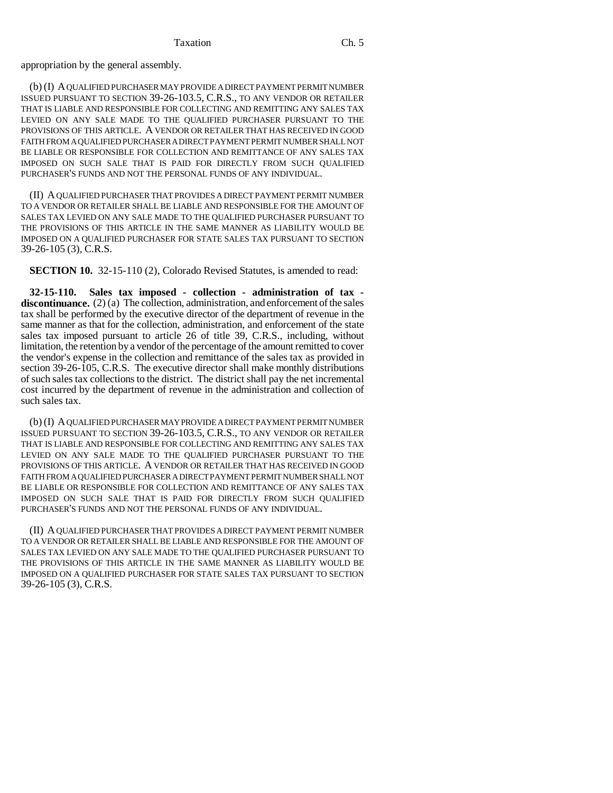appropriation by the general assembly.

(b) (I) A QUALIFIED PURCHASER MAY PROVIDE A DIRECT PAYMENT PERMIT NUMBER ISSUED PURSUANT TO SECTION 39-26-103.5, C.R.S., TO ANY VENDOR OR RETAILER THAT IS LIABLE AND RESPONSIBLE FOR COLLECTING AND REMITTING ANY SALES TAX LEVIED ON ANY SALE MADE TO THE QUALIFIED PURCHASER PURSUANT TO THE PROVISIONS OF THIS ARTICLE. A VENDOR OR RETAILER THAT HAS RECEIVED IN GOOD FAITH FROM A QUALIFIED PURCHASER A DIRECT PAYMENT PERMIT NUMBER SHALL NOT BE LIABLE OR RESPONSIBLE FOR COLLECTION AND REMITTANCE OF ANY SALES TAX IMPOSED ON SUCH SALE THAT IS PAID FOR DIRECTLY FROM SUCH QUALIFIED PURCHASER'S FUNDS AND NOT THE PERSONAL FUNDS OF ANY INDIVIDUAL.

(II) A QUALIFIED PURCHASER THAT PROVIDES A DIRECT PAYMENT PERMIT NUMBER TO A VENDOR OR RETAILER SHALL BE LIABLE AND RESPONSIBLE FOR THE AMOUNT OF SALES TAX LEVIED ON ANY SALE MADE TO THE QUALIFIED PURCHASER PURSUANT TO THE PROVISIONS OF THIS ARTICLE IN THE SAME MANNER AS LIABILITY WOULD BE IMPOSED ON A QUALIFIED PURCHASER FOR STATE SALES TAX PURSUANT TO SECTION 39-26-105 (3), C.R.S.

**SECTION 10.** 32-15-110 (2), Colorado Revised Statutes, is amended to read:

**32-15-110. Sales tax imposed - collection - administration of tax**  discontinuance. (2) (a) The collection, administration, and enforcement of the sales tax shall be performed by the executive director of the department of revenue in the same manner as that for the collection, administration, and enforcement of the state sales tax imposed pursuant to article 26 of title 39, C.R.S., including, without limitation, the retention by a vendor of the percentage of the amount remitted to cover the vendor's expense in the collection and remittance of the sales tax as provided in section 39-26-105, C.R.S. The executive director shall make monthly distributions of such sales tax collections to the district. The district shall pay the net incremental cost incurred by the department of revenue in the administration and collection of such sales tax.

(b) (I) A QUALIFIED PURCHASER MAY PROVIDE A DIRECT PAYMENT PERMIT NUMBER ISSUED PURSUANT TO SECTION 39-26-103.5, C.R.S., TO ANY VENDOR OR RETAILER THAT IS LIABLE AND RESPONSIBLE FOR COLLECTING AND REMITTING ANY SALES TAX LEVIED ON ANY SALE MADE TO THE QUALIFIED PURCHASER PURSUANT TO THE PROVISIONS OF THIS ARTICLE. A VENDOR OR RETAILER THAT HAS RECEIVED IN GOOD FAITH FROM A QUALIFIED PURCHASER A DIRECT PAYMENT PERMIT NUMBER SHALL NOT BE LIABLE OR RESPONSIBLE FOR COLLECTION AND REMITTANCE OF ANY SALES TAX IMPOSED ON SUCH SALE THAT IS PAID FOR DIRECTLY FROM SUCH QUALIFIED PURCHASER'S FUNDS AND NOT THE PERSONAL FUNDS OF ANY INDIVIDUAL.

(II) A QUALIFIED PURCHASER THAT PROVIDES A DIRECT PAYMENT PERMIT NUMBER TO A VENDOR OR RETAILER SHALL BE LIABLE AND RESPONSIBLE FOR THE AMOUNT OF SALES TAX LEVIED ON ANY SALE MADE TO THE QUALIFIED PURCHASER PURSUANT TO THE PROVISIONS OF THIS ARTICLE IN THE SAME MANNER AS LIABILITY WOULD BE IMPOSED ON A QUALIFIED PURCHASER FOR STATE SALES TAX PURSUANT TO SECTION 39-26-105 (3), C.R.S.